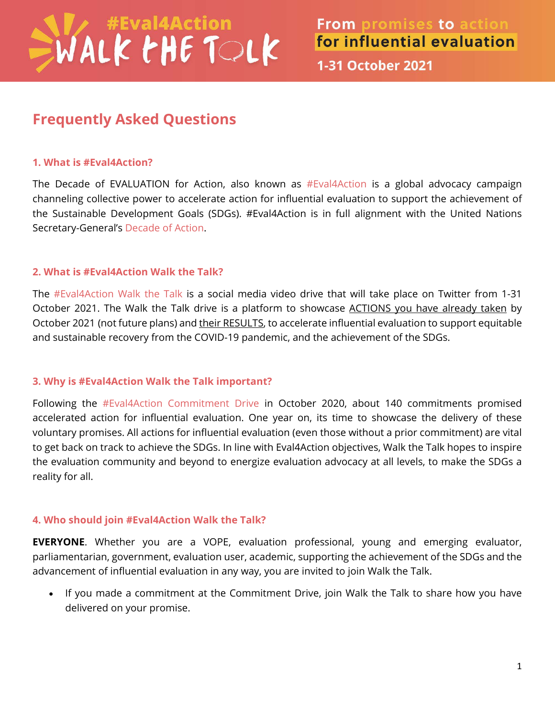# WALK THE TOLK

1-31 October 2021

## **Frequently Asked Questions**

#### **1. What is #Eval4Action?**

The Decade of EVALUATION for Action, also known as [#Eval4Action](https://www.eval4action.org/) is a global advocacy campaign channeling collective power to accelerate action for influential evaluation to support the achievement of the Sustainable Development Goals (SDGs). #Eval4Action is in full alignment with the United Nations Secretary-General's [Decade of Action.](https://www.un.org/sustainabledevelopment/decade-of-action/)

### **2. What is #Eval4Action Walk the Talk?**

The #Eval4Action [Walk the Talk](https://www.eval4action.org/post/walk-the-talk-from-promises-to-action-for-influential-evaluation) is a social media video drive that will take place on Twitter from 1-31 October 2021. The Walk the Talk drive is a platform to showcase ACTIONS you have already taken by October 2021 (not future plans) and their RESULTS, to accelerate influential evaluation to support equitable and sustainable recovery from the COVID-19 pandemic, and the achievement of the SDGs.

### **3. Why is #Eval4Action Walk the Talk important?**

Following the [#Eval4Action Commitment Drive](https://www.eval4action.org/commitments) in October 2020, about 140 commitments promised accelerated action for influential evaluation. One year on, its time to showcase the delivery of these voluntary promises. All actions for influential evaluation (even those without a prior commitment) are vital to get back on track to achieve the SDGs. In line with Eval4Action objectives, Walk the Talk hopes to inspire the evaluation community and beyond to energize evaluation advocacy at all levels, to make the SDGs a reality for all.

### **4. Who should join #Eval4Action Walk the Talk?**

**EVERYONE**. Whether you are a VOPE, evaluation professional, young and emerging evaluator, parliamentarian, government, evaluation user, academic, supporting the achievement of the SDGs and the advancement of influential evaluation in any way, you are invited to join Walk the Talk.

• If you made a commitment at the Commitment Drive, join Walk the Talk to share how you have delivered on your promise.